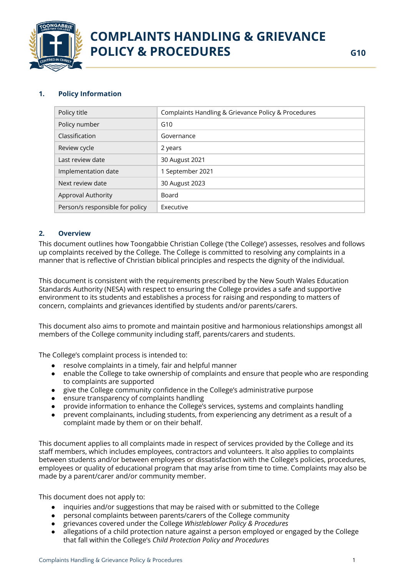

## **1. Policy Information**

| Policy title                    | Complaints Handling & Grievance Policy & Procedures |
|---------------------------------|-----------------------------------------------------|
| Policy number                   | G10                                                 |
| Classification                  | Governance                                          |
| Review cycle                    | 2 years                                             |
| Last review date                | 30 August 2021                                      |
| Implementation date             | 1 September 2021                                    |
| Next review date                | 30 August 2023                                      |
| <b>Approval Authority</b>       | Board                                               |
| Person/s responsible for policy | Executive                                           |

## **2. Overview**

This document outlines how Toongabbie Christian College ('the College') assesses, resolves and follows up complaints received by the College. The College is committed to resolving any complaints in a manner that is reflective of Christian biblical principles and respects the dignity of the individual.

This document is consistent with the requirements prescribed by the New South Wales Education Standards Authority (NESA) with respect to ensuring the College provides a safe and supportive environment to its students and establishes a process for raising and responding to matters of concern, complaints and grievances identified by students and/or parents/carers.

This document also aims to promote and maintain positive and harmonious relationships amongst all members of the College community including staff, parents/carers and students.

The College's complaint process is intended to:

- resolve complaints in a timely, fair and helpful manner
- enable the College to take ownership of complaints and ensure that people who are responding to complaints are supported
- give the College community confidence in the College's administrative purpose
- ensure transparency of complaints handling
- provide information to enhance the College's services, systems and complaints handling
- prevent complainants, including students, from experiencing any detriment as a result of a complaint made by them or on their behalf.

This document applies to all complaints made in respect of services provided by the College and its staff members, which includes employees, contractors and volunteers. It also applies to complaints between students and/or between employees or dissatisfaction with the College's policies, procedures, employees or quality of educational program that may arise from time to time. Complaints may also be made by a parent/carer and/or community member.

This document does not apply to:

- inquiries and/or suggestions that may be raised with or submitted to the College
- personal complaints between parents/carers of the College community
- grievances covered under the College *Whistleblower Policy & Procedures*
- allegations of a child protection nature against a person employed or engaged by the College that fall within the College's *Child Protection Policy and Procedures*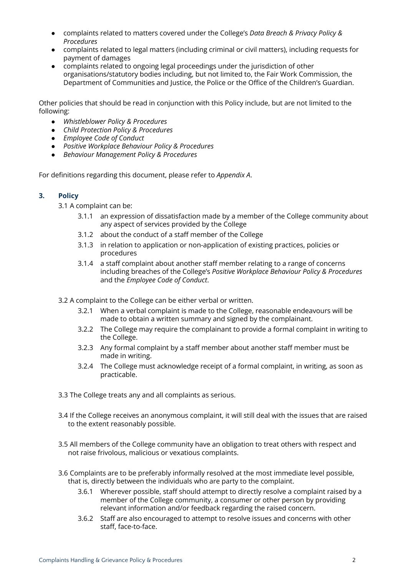- complaints related to matters covered under the College's *Data Breach & Privacy Policy & Procedures*
- complaints related to legal matters (including criminal or civil matters), including requests for payment of damages
- complaints related to ongoing legal proceedings under the jurisdiction of other organisations/statutory bodies including, but not limited to, the Fair Work Commission, the Department of Communities and Justice, the Police or the Office of the Children's Guardian.

Other policies that should be read in conjunction with this Policy include, but are not limited to the following:

- *● Whistleblower Policy & Procedures*
- *● Child Protection Policy & Procedures*
- *● Employee Code of Conduct*
- *Positive Workplace Behaviour Policy & Procedures*
- *● Behaviour Management Policy & Procedures*

For definitions regarding this document, please refer to *Appendix A*.

### **3. Policy**

3.1 A complaint can be:

- 3.1.1 an expression of dissatisfaction made by a member of the College community about any aspect of services provided by the College
- 3.1.2 about the conduct of a staff member of the College
- 3.1.3 in relation to application or non-application of existing practices, policies or procedures
- 3.1.4 a staff complaint about another staff member relating to a range of concerns including breaches of the College's *Positive Workplace Behaviour Policy & Procedures* and the *Employee Code of Conduct*.
- 3.2 A complaint to the College can be either verbal or written.
	- 3.2.1 When a verbal complaint is made to the College, reasonable endeavours will be made to obtain a written summary and signed by the complainant.
	- 3.2.2 The College may require the complainant to provide a formal complaint in writing to the College.
	- 3.2.3 Any formal complaint by a staff member about another staff member must be made in writing.
	- 3.2.4 The College must acknowledge receipt of a formal complaint, in writing, as soon as practicable.
- 3.3 The College treats any and all complaints as serious.
- 3.4 If the College receives an anonymous complaint, it will still deal with the issues that are raised to the extent reasonably possible.
- 3.5 All members of the College community have an obligation to treat others with respect and not raise frivolous, malicious or vexatious complaints.
- 3.6 Complaints are to be preferably informally resolved at the most immediate level possible, that is, directly between the individuals who are party to the complaint.
	- 3.6.1 Wherever possible, staff should attempt to directly resolve a complaint raised by a member of the College community, a consumer or other person by providing relevant information and/or feedback regarding the raised concern.
	- 3.6.2 Staff are also encouraged to attempt to resolve issues and concerns with other staff, face-to-face.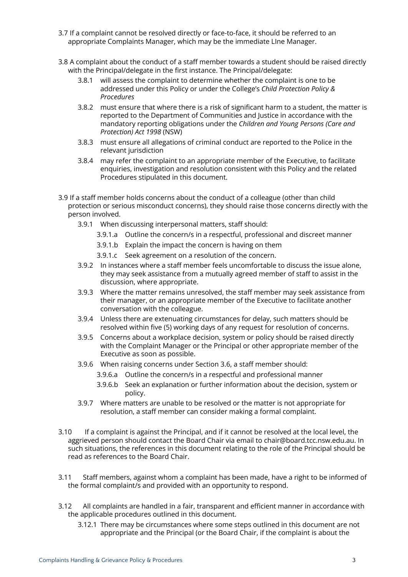- 3.7 If a complaint cannot be resolved directly or face-to-face, it should be referred to an appropriate Complaints Manager, which may be the immediate LIne Manager.
- 3.8 A complaint about the conduct of a staff member towards a student should be raised directly with the Principal/delegate in the first instance. The Principal/delegate:
	- 3.8.1 will assess the complaint to determine whether the complaint is one to be addressed under this Policy or under the College's *Child Protection Policy & Procedures*
	- 3.8.2 must ensure that where there is a risk of significant harm to a student, the matter is reported to the Department of Communities and Justice in accordance with the mandatory reporting obligations under the *Children and Young Persons (Care and Protection) Act 1998* (NSW)
	- 3.8.3 must ensure all allegations of criminal conduct are reported to the Police in the relevant jurisdiction
	- 3.8.4 may refer the complaint to an appropriate member of the Executive, to facilitate enquiries, investigation and resolution consistent with this Policy and the related Procedures stipulated in this document.
- 3.9 If a staff member holds concerns about the conduct of a colleague (other than child protection or serious misconduct concerns), they should raise those concerns directly with the person involved.
	- 3.9.1 When discussing interpersonal matters, staff should:
		- 3.9.1.a Outline the concern/s in a respectful, professional and discreet manner
		- 3.9.1.b Explain the impact the concern is having on them
		- 3.9.1.c Seek agreement on a resolution of the concern.
	- 3.9.2 In instances where a staff member feels uncomfortable to discuss the issue alone, they may seek assistance from a mutually agreed member of staff to assist in the discussion, where appropriate.
	- 3.9.3 Where the matter remains unresolved, the staff member may seek assistance from their manager, or an appropriate member of the Executive to facilitate another conversation with the colleague.
	- 3.9.4 Unless there are extenuating circumstances for delay, such matters should be resolved within five (5) working days of any request for resolution of concerns.
	- 3.9.5 Concerns about a workplace decision, system or policy should be raised directly with the Complaint Manager or the Principal or other appropriate member of the Executive as soon as possible.
	- 3.9.6 When raising concerns under Section 3.6, a staff member should:
		- 3.9.6.a Outline the concern/s in a respectful and professional manner
		- 3.9.6.b Seek an explanation or further information about the decision, system or policy.
	- 3.9.7 Where matters are unable to be resolved or the matter is not appropriate for resolution, a staff member can consider making a formal complaint.
- 3.10 If a complaint is against the Principal, and if it cannot be resolved at the local level, the aggrieved person should contact the Board Chair via email to chair@board.tcc.nsw.edu.au. In such situations, the references in this document relating to the role of the Principal should be read as references to the Board Chair.
- 3.11 Staff members, against whom a complaint has been made, have a right to be informed of the formal complaint/s and provided with an opportunity to respond.
- 3.12 All complaints are handled in a fair, transparent and efficient manner in accordance with the applicable procedures outlined in this document.
	- 3.12.1 There may be circumstances where some steps outlined in this document are not appropriate and the Principal (or the Board Chair, if the complaint is about the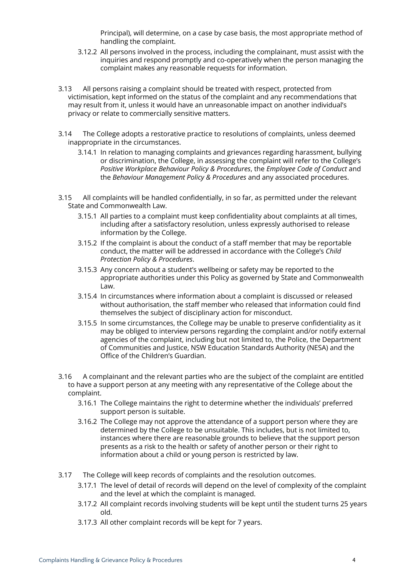Principal), will determine, on a case by case basis, the most appropriate method of handling the complaint.

- 3.12.2 All persons involved in the process, including the complainant, must assist with the inquiries and respond promptly and co-operatively when the person managing the complaint makes any reasonable requests for information.
- 3.13 All persons raising a complaint should be treated with respect, protected from victimisation, kept informed on the status of the complaint and any recommendations that may result from it, unless it would have an unreasonable impact on another individual's privacy or relate to commercially sensitive matters.
- 3.14 The College adopts a restorative practice to resolutions of complaints, unless deemed inappropriate in the circumstances.
	- 3.14.1 In relation to managing complaints and grievances regarding harassment, bullying or discrimination, the College, in assessing the complaint will refer to the College's *Positive Workplace Behaviour Policy & Procedures*, the *Employee Code of Conduct* and the *Behaviour Management Policy & Procedures* and any associated procedures.
- 3.15 All complaints will be handled confidentially, in so far, as permitted under the relevant State and Commonwealth Law.
	- 3.15.1 All parties to a complaint must keep confidentiality about complaints at all times, including after a satisfactory resolution, unless expressly authorised to release information by the College.
	- 3.15.2 If the complaint is about the conduct of a staff member that may be reportable conduct, the matter will be addressed in accordance with the College's *Child Protection Policy & Procedures*.
	- 3.15.3 Any concern about a student's wellbeing or safety may be reported to the appropriate authorities under this Policy as governed by State and Commonwealth Law.
	- 3.15.4 In circumstances where information about a complaint is discussed or released without authorisation, the staff member who released that information could find themselves the subject of disciplinary action for misconduct.
	- 3.15.5 In some circumstances, the College may be unable to preserve confidentiality as it may be obliged to interview persons regarding the complaint and/or notify external agencies of the complaint, including but not limited to, the Police, the Department of Communities and Justice, NSW Education Standards Authority (NESA) and the Office of the Children's Guardian.
- 3.16 A complainant and the relevant parties who are the subject of the complaint are entitled to have a support person at any meeting with any representative of the College about the complaint.
	- 3.16.1 The College maintains the right to determine whether the individuals' preferred support person is suitable.
	- 3.16.2 The College may not approve the attendance of a support person where they are determined by the College to be unsuitable. This includes, but is not limited to, instances where there are reasonable grounds to believe that the support person presents as a risk to the health or safety of another person or their right to information about a child or young person is restricted by law.
- 3.17 The College will keep records of complaints and the resolution outcomes.
	- 3.17.1 The level of detail of records will depend on the level of complexity of the complaint and the level at which the complaint is managed.
	- 3.17.2 All complaint records involving students will be kept until the student turns 25 years old.
	- 3.17.3 All other complaint records will be kept for 7 years.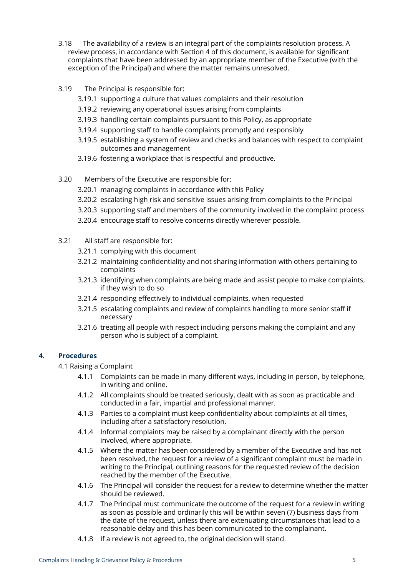- 3.18 The availability of a review is an integral part of the complaints resolution process. A review process, in accordance with Section 4 of this document, is available for significant complaints that have been addressed by an appropriate member of the Executive (with the exception of the Principal) and where the matter remains unresolved.
- 3.19 The Principal is responsible for:
	- 3.19.1 supporting a culture that values complaints and their resolution
	- 3.19.2 reviewing any operational issues arising from complaints
	- 3.19.3 handling certain complaints pursuant to this Policy, as appropriate
	- 3.19.4 supporting staff to handle complaints promptly and responsibly
	- 3.19.5 establishing a system of review and checks and balances with respect to complaint outcomes and management
	- 3.19.6 fostering a workplace that is respectful and productive.
- 3.20 Members of the Executive are responsible for:
	- 3.20.1 managing complaints in accordance with this Policy
	- 3.20.2 escalating high risk and sensitive issues arising from complaints to the Principal
	- 3.20.3 supporting staff and members of the community involved in the complaint process
	- 3.20.4 encourage staff to resolve concerns directly wherever possible.
- 3.21 All staff are responsible for:
	- 3.21.1 complying with this document
	- 3.21.2 maintaining confidentiality and not sharing information with others pertaining to complaints
	- 3.21.3 identifying when complaints are being made and assist people to make complaints, if they wish to do so
	- 3.21.4 responding effectively to individual complaints, when requested
	- 3.21.5 escalating complaints and review of complaints handling to more senior staff if necessary
	- 3.21.6 treating all people with respect including persons making the complaint and any person who is subject of a complaint.

# **4. Procedures**

4.1 Raising a Complaint

- 4.1.1 Complaints can be made in many different ways, including in person, by telephone, in writing and online.
- 4.1.2 All complaints should be treated seriously, dealt with as soon as practicable and conducted in a fair, impartial and professional manner.
- 4.1.3 Parties to a complaint must keep confidentiality about complaints at all times, including after a satisfactory resolution.
- 4.1.4 Informal complaints may be raised by a complainant directly with the person involved, where appropriate.
- 4.1.5 Where the matter has been considered by a member of the Executive and has not been resolved, the request for a review of a significant complaint must be made in writing to the Principal, outlining reasons for the requested review of the decision reached by the member of the Executive.
- 4.1.6 The Principal will consider the request for a review to determine whether the matter should be reviewed.
- 4.1.7 The Principal must communicate the outcome of the request for a review in writing as soon as possible and ordinarily this will be within seven (7) business days from the date of the request, unless there are extenuating circumstances that lead to a reasonable delay and this has been communicated to the complainant.
- 4.1.8 If a review is not agreed to, the original decision will stand.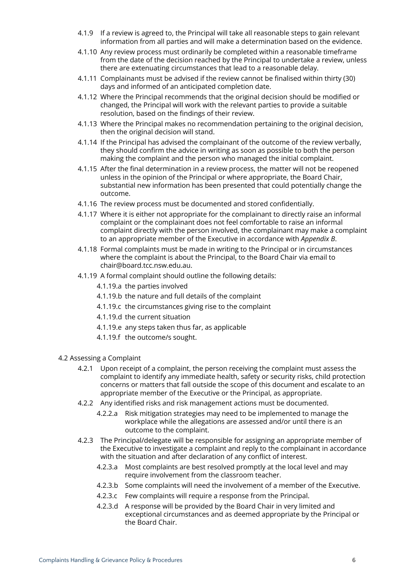- 4.1.9 If a review is agreed to, the Principal will take all reasonable steps to gain relevant information from all parties and will make a determination based on the evidence.
- 4.1.10 Any review process must ordinarily be completed within a reasonable timeframe from the date of the decision reached by the Principal to undertake a review, unless there are extenuating circumstances that lead to a reasonable delay.
- 4.1.11 Complainants must be advised if the review cannot be finalised within thirty (30) days and informed of an anticipated completion date.
- 4.1.12 Where the Principal recommends that the original decision should be modified or changed, the Principal will work with the relevant parties to provide a suitable resolution, based on the findings of their review.
- 4.1.13 Where the Principal makes no recommendation pertaining to the original decision, then the original decision will stand.
- 4.1.14 If the Principal has advised the complainant of the outcome of the review verbally, they should confirm the advice in writing as soon as possible to both the person making the complaint and the person who managed the initial complaint.
- 4.1.15 After the final determination in a review process, the matter will not be reopened unless in the opinion of the Principal or where appropriate, the Board Chair, substantial new information has been presented that could potentially change the outcome.
- 4.1.16 The review process must be documented and stored confidentially.
- 4.1.17 Where it is either not appropriate for the complainant to directly raise an informal complaint or the complainant does not feel comfortable to raise an informal complaint directly with the person involved, the complainant may make a complaint to an appropriate member of the Executive in accordance with *Appendix B*.
- 4.1.18 Formal complaints must be made in writing to the Principal or in circumstances where the complaint is about the Principal, to the Board Chair via email to chair@board.tcc.nsw.edu.au.
- 4.1.19 A formal complaint should outline the following details:
	- 4.1.19.a the parties involved
	- 4.1.19.b the nature and full details of the complaint
	- 4.1.19.c the circumstances giving rise to the complaint
	- 4.1.19.d the current situation
	- 4.1.19.e any steps taken thus far, as applicable
	- 4.1.19.f the outcome/s sought.
- 4.2 Assessing a Complaint
	- 4.2.1 Upon receipt of a complaint, the person receiving the complaint must assess the complaint to identify any immediate health, safety or security risks, child protection concerns or matters that fall outside the scope of this document and escalate to an appropriate member of the Executive or the Principal, as appropriate.
	- 4.2.2 Any identified risks and risk management actions must be documented.
		- 4.2.2.a Risk mitigation strategies may need to be implemented to manage the workplace while the allegations are assessed and/or until there is an outcome to the complaint.
	- 4.2.3 The Principal/delegate will be responsible for assigning an appropriate member of the Executive to investigate a complaint and reply to the complainant in accordance with the situation and after declaration of any conflict of interest.
		- 4.2.3.a Most complaints are best resolved promptly at the local level and may require involvement from the classroom teacher.
		- 4.2.3.b Some complaints will need the involvement of a member of the Executive.
		- 4.2.3.c Few complaints will require a response from the Principal.
		- 4.2.3.d A response will be provided by the Board Chair in very limited and exceptional circumstances and as deemed appropriate by the Principal or the Board Chair.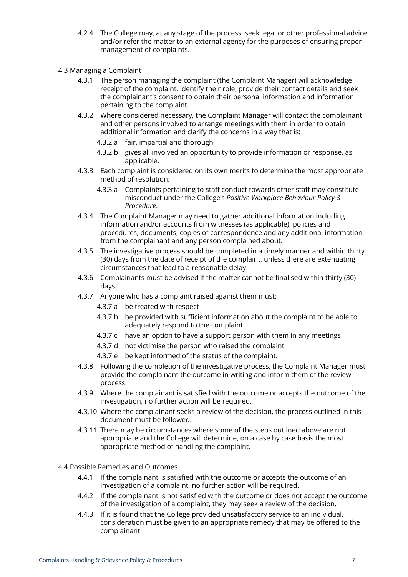- 4.2.4 The College may, at any stage of the process, seek legal or other professional advice and/or refer the matter to an external agency for the purposes of ensuring proper management of complaints.
- 4.3 Managing a Complaint
	- 4.3.1 The person managing the complaint (the Complaint Manager) will acknowledge receipt of the complaint, identify their role, provide their contact details and seek the complainant's consent to obtain their personal information and information pertaining to the complaint.
	- 4.3.2 Where considered necessary, the Complaint Manager will contact the complainant and other persons involved to arrange meetings with them in order to obtain additional information and clarify the concerns in a way that is:
		- 4.3.2.a fair, impartial and thorough
		- 4.3.2.b gives all involved an opportunity to provide information or response, as applicable.
	- 4.3.3 Each complaint is considered on its own merits to determine the most appropriate method of resolution.
		- 4.3.3.a Complaints pertaining to staff conduct towards other staff may constitute misconduct under the College's *Positive Workplace Behaviour Policy & Procedure*.
	- 4.3.4 The Complaint Manager may need to gather additional information including information and/or accounts from witnesses (as applicable), policies and procedures, documents, copies of correspondence and any additional information from the complainant and any person complained about.
	- 4.3.5 The investigative process should be completed in a timely manner and within thirty (30) days from the date of receipt of the complaint, unless there are extenuating circumstances that lead to a reasonable delay.
	- 4.3.6 Complainants must be advised if the matter cannot be finalised within thirty (30) days.
	- 4.3.7 Anyone who has a complaint raised against them must:
		- 4.3.7.a be treated with respect
		- 4.3.7.b be provided with sufficient information about the complaint to be able to adequately respond to the complaint
		- 4.3.7.c have an option to have a support person with them in any meetings
		- 4.3.7.d not victimise the person who raised the complaint
		- 4.3.7.e be kept informed of the status of the complaint.
	- 4.3.8 Following the completion of the investigative process, the Complaint Manager must provide the complainant the outcome in writing and inform them of the review process.
	- 4.3.9 Where the complainant is satisfied with the outcome or accepts the outcome of the investigation, no further action will be required.
	- 4.3.10 Where the complainant seeks a review of the decision, the process outlined in this document must be followed.
	- 4.3.11 There may be circumstances where some of the steps outlined above are not appropriate and the College will determine, on a case by case basis the most appropriate method of handling the complaint.
- 4.4 Possible Remedies and Outcomes
	- 4.4.1 If the complainant is satisfied with the outcome or accepts the outcome of an investigation of a complaint, no further action will be required.
	- 4.4.2 If the complainant is not satisfied with the outcome or does not accept the outcome of the investigation of a complaint, they may seek a review of the decision.
	- 4.4.3 If it is found that the College provided unsatisfactory service to an individual, consideration must be given to an appropriate remedy that may be offered to the complainant.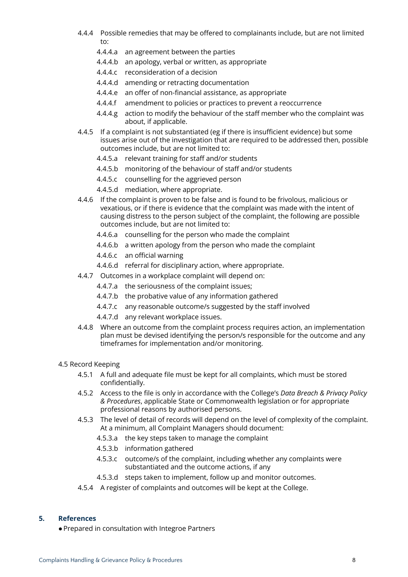- 4.4.4 Possible remedies that may be offered to complainants include, but are not limited to:
	- 4.4.4.a an agreement between the parties
	- 4.4.4.b an apology, verbal or written, as appropriate
	- 4.4.4.c reconsideration of a decision
	- 4.4.4.d amending or retracting documentation
	- 4.4.4.e an offer of non-financial assistance, as appropriate
	- 4.4.4.f amendment to policies or practices to prevent a reoccurrence
	- 4.4.4.g action to modify the behaviour of the staff member who the complaint was about, if applicable.
- 4.4.5 If a complaint is not substantiated (eg if there is insufficient evidence) but some issues arise out of the investigation that are required to be addressed then, possible outcomes include, but are not limited to:
	- 4.4.5.a relevant training for staff and/or students
	- 4.4.5.b monitoring of the behaviour of staff and/or students
	- 4.4.5.c counselling for the aggrieved person
	- 4.4.5.d mediation, where appropriate.
- 4.4.6 If the complaint is proven to be false and is found to be frivolous, malicious or vexatious, or if there is evidence that the complaint was made with the intent of causing distress to the person subject of the complaint, the following are possible outcomes include, but are not limited to:
	- 4.4.6.a counselling for the person who made the complaint
	- 4.4.6.b a written apology from the person who made the complaint
	- 4.4.6.c an official warning
	- 4.4.6.d referral for disciplinary action, where appropriate.
- 4.4.7 Outcomes in a workplace complaint will depend on:
	- 4.4.7.a the seriousness of the complaint issues;
	- 4.4.7.b the probative value of any information gathered
	- 4.4.7.c any reasonable outcome/s suggested by the staff involved
	- 4.4.7.d any relevant workplace issues.
- 4.4.8 Where an outcome from the complaint process requires action, an implementation plan must be devised identifying the person/s responsible for the outcome and any timeframes for implementation and/or monitoring.

### 4.5 Record Keeping

- 4.5.1 A full and adequate file must be kept for all complaints, which must be stored confidentially.
- 4.5.2 Access to the file is only in accordance with the College's *Data Breach & Privacy Policy & Procedures*, applicable State or Commonwealth legislation or for appropriate professional reasons by authorised persons.
- 4.5.3 The level of detail of records will depend on the level of complexity of the complaint. At a minimum, all Complaint Managers should document:
	- 4.5.3.a the key steps taken to manage the complaint
	- 4.5.3.b information gathered
	- 4.5.3.c outcome/s of the complaint, including whether any complaints were substantiated and the outcome actions, if any
	- 4.5.3.d steps taken to implement, follow up and monitor outcomes.
- 4.5.4 A register of complaints and outcomes will be kept at the College.

#### **5. References**

●Prepared in consultation with Integroe Partners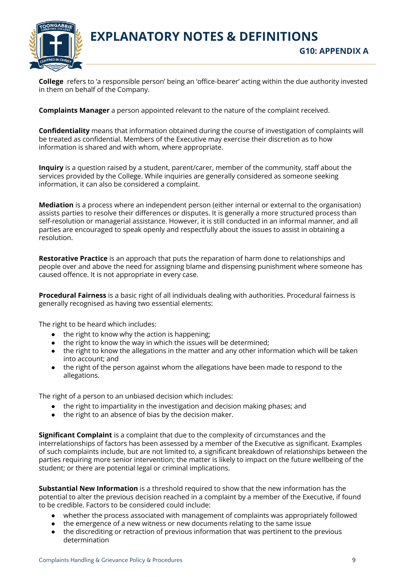

**EXPLANATORY NOTES & DEFINITIONS G10: APPENDIX A**

**College** refers to 'a responsible person' being an 'office-bearer' acting within the due authority invested in them on behalf of the Company.

**Complaints Manager** a person appointed relevant to the nature of the complaint received.

**Confidentiality** means that information obtained during the course of investigation of complaints will be treated as confidential. Members of the Executive may exercise their discretion as to how information is shared and with whom, where appropriate.

**Inquiry** is a question raised by a student, parent/carer, member of the community, staff about the services provided by the College. While inquiries are generally considered as someone seeking information, it can also be considered a complaint.

**Mediation** is a process where an independent person (either internal or external to the organisation) assists parties to resolve their differences or disputes. It is generally a more structured process than self-resolution or managerial assistance. However, it is still conducted in an informal manner, and all parties are encouraged to speak openly and respectfully about the issues to assist in obtaining a resolution.

**Restorative Practice** is an approach that puts the reparation of harm done to relationships and people over and above the need for assigning blame and dispensing punishment where someone has caused offence. It is not appropriate in every case.

**Procedural Fairness** is a basic right of all individuals dealing with authorities. Procedural fairness is generally recognised as having two essential elements:

The right to be heard which includes:

- $\bullet$  the right to know why the action is happening:
- the right to know the way in which the issues will be determined;
- the right to know the allegations in the matter and any other information which will be taken into account; and
- the right of the person against whom the allegations have been made to respond to the allegations.

The right of a person to an unbiased decision which includes:

- the right to impartiality in the investigation and decision making phases; and
- the right to an absence of bias by the decision maker.

**Significant Complaint** is a complaint that due to the complexity of circumstances and the interrelationships of factors has been assessed by a member of the Executive as significant. Examples of such complaints include, but are not limited to, a significant breakdown of relationships between the parties requiring more senior intervention; the matter is likely to impact on the future wellbeing of the student; or there are potential legal or criminal implications.

**Substantial New Information** is a threshold required to show that the new information has the potential to alter the previous decision reached in a complaint by a member of the Executive, if found to be credible. Factors to be considered could include:

- whether the process associated with management of complaints was appropriately followed
- the emergence of a new witness or new documents relating to the same issue
- the discrediting or retraction of previous information that was pertinent to the previous determination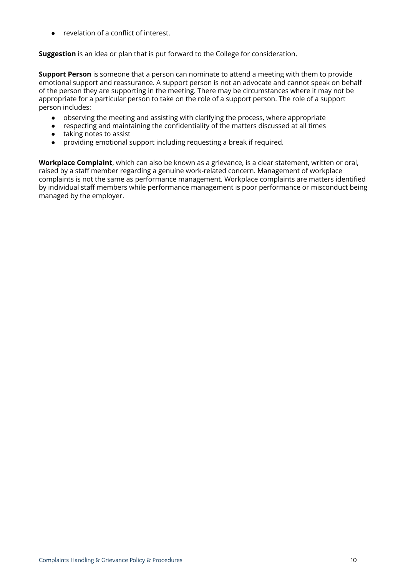● revelation of a conflict of interest.

**Suggestion** is an idea or plan that is put forward to the College for consideration.

**Support Person** is someone that a person can nominate to attend a meeting with them to provide emotional support and reassurance. A support person is not an advocate and cannot speak on behalf of the person they are supporting in the meeting. There may be circumstances where it may not be appropriate for a particular person to take on the role of a support person. The role of a support person includes:

- observing the meeting and assisting with clarifying the process, where appropriate
- respecting and maintaining the confidentiality of the matters discussed at all times
- taking notes to assist
- providing emotional support including requesting a break if required.

**Workplace Complaint**, which can also be known as a grievance, is a clear statement, written or oral, raised by a staff member regarding a genuine work-related concern. Management of workplace complaints is not the same as performance management. Workplace complaints are matters identified by individual staff members while performance management is poor performance or misconduct being managed by the employer.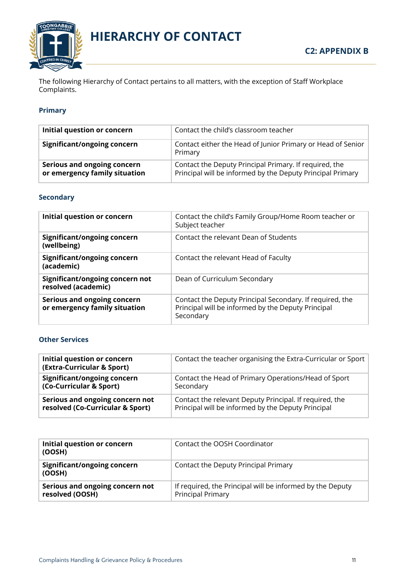

**HIERARCHY OF CONTACT**

The following Hierarchy of Contact pertains to all matters, with the exception of Staff Workplace Complaints.

## **Primary**

| Initial question or concern                                  | Contact the child's classroom teacher                                                                                |
|--------------------------------------------------------------|----------------------------------------------------------------------------------------------------------------------|
| Significant/ongoing concern                                  | Contact either the Head of Junior Primary or Head of Senior<br>Primary                                               |
| Serious and ongoing concern<br>or emergency family situation | Contact the Deputy Principal Primary. If required, the<br>Principal will be informed by the Deputy Principal Primary |

# **Secondary**

| Initial question or concern                                         | Contact the child's Family Group/Home Room teacher or<br>Subject teacher                                                    |
|---------------------------------------------------------------------|-----------------------------------------------------------------------------------------------------------------------------|
| <b>Significant/ongoing concern</b><br>(wellbeing)                   | Contact the relevant Dean of Students                                                                                       |
| Significant/ongoing concern<br>(academic)                           | Contact the relevant Head of Faculty                                                                                        |
| Significant/ongoing concern not<br>resolved (academic)              | Dean of Curriculum Secondary                                                                                                |
| <b>Serious and ongoing concern</b><br>or emergency family situation | Contact the Deputy Principal Secondary. If required, the<br>Principal will be informed by the Deputy Principal<br>Secondary |

### **Other Services**

| Initial question or concern<br>(Extra-Curricular & Sport) | Contact the teacher organising the Extra-Curricular or Sport |
|-----------------------------------------------------------|--------------------------------------------------------------|
| <b>Significant/ongoing concern</b>                        | Contact the Head of Primary Operations/Head of Sport         |
| (Co-Curricular & Sport)                                   | Secondary                                                    |
| Serious and ongoing concern not                           | Contact the relevant Deputy Principal. If required, the      |
| resolved (Co-Curricular & Sport)                          | Principal will be informed by the Deputy Principal           |

| Initial question or concern<br>(OOSH)              | Contact the OOSH Coordinator                                                          |
|----------------------------------------------------|---------------------------------------------------------------------------------------|
| Significant/ongoing concern<br>(OOSH)              | Contact the Deputy Principal Primary                                                  |
| Serious and ongoing concern not<br>resolved (OOSH) | If required, the Principal will be informed by the Deputy<br><b>Principal Primary</b> |